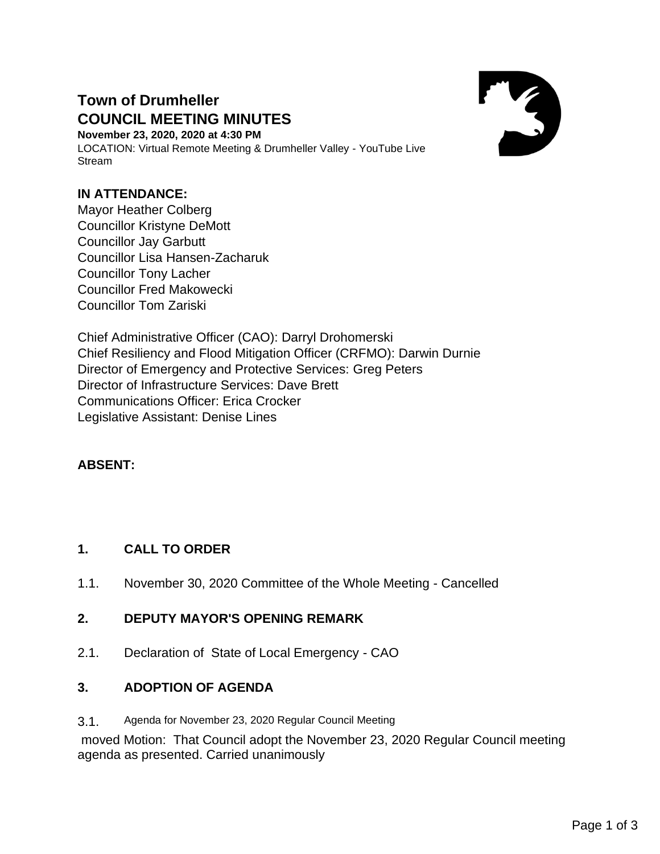# **Town of Drumheller COUNCIL MEETING MINUTES**

**November 23, 2020, 2020 at 4:30 PM** LOCATION: Virtual Remote Meeting & Drumheller Valley - YouTube Live Stream



### **IN ATTENDANCE:**

Mayor Heather Colberg Councillor Kristyne DeMott Councillor Jay Garbutt Councillor Lisa Hansen-Zacharuk Councillor Tony Lacher Councillor Fred Makowecki Councillor Tom Zariski

Chief Administrative Officer (CAO): Darryl Drohomerski Chief Resiliency and Flood Mitigation Officer (CRFMO): Darwin Durnie Director of Emergency and Protective Services: Greg Peters Director of Infrastructure Services: Dave Brett Communications Officer: Erica Crocker Legislative Assistant: Denise Lines

# **ABSENT:**

### **1. CALL TO ORDER**

1.1. November 30, 2020 Committee of the Whole Meeting - Cancelled

### **2. DEPUTY MAYOR'S OPENING REMARK**

2.1. Declaration of State of Local Emergency - CAO

### **3. ADOPTION OF AGENDA**

3.1. Agenda for November 23, 2020 Regular Council Meeting

moved Motion: That Council adopt the November 23, 2020 Regular Council meeting agenda as presented. Carried unanimously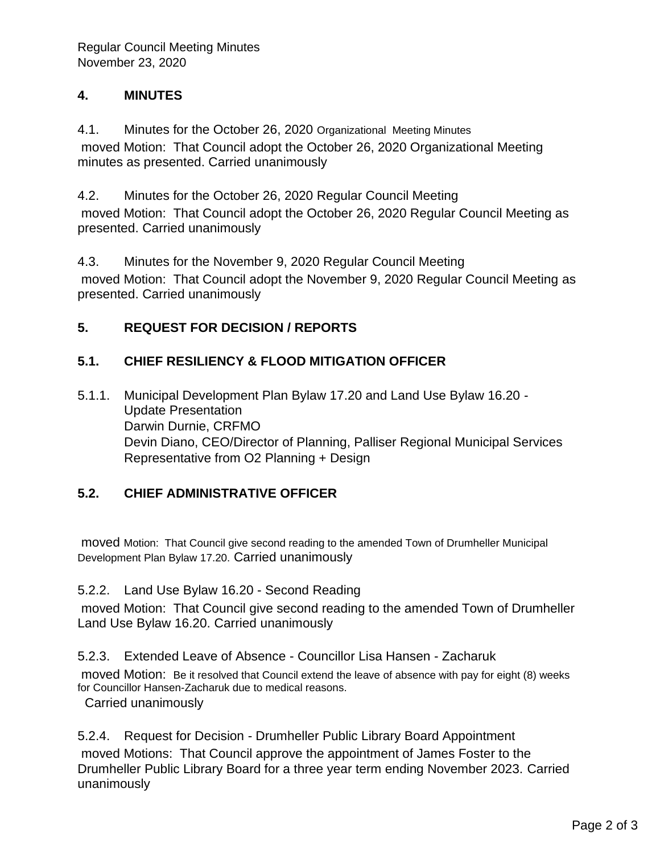### **4. MINUTES**

4.1. Minutes for the October 26, 2020 Organizational Meeting Minutes moved Motion: That Council adopt the October 26, 2020 Organizational Meeting minutes as presented. Carried unanimously

4.2. Minutes for the October 26, 2020 Regular Council Meeting moved Motion: That Council adopt the October 26, 2020 Regular Council Meeting as presented. Carried unanimously

4.3. Minutes for the November 9, 2020 Regular Council Meeting moved Motion: That Council adopt the November 9, 2020 Regular Council Meeting as presented. Carried unanimously

### **5. REQUEST FOR DECISION / REPORTS**

# **5.1. CHIEF RESILIENCY & FLOOD MITIGATION OFFICER**

5.1.1. Municipal Development Plan Bylaw 17.20 and Land Use Bylaw 16.20 - Update Presentation Darwin Durnie, CRFMO Devin Diano, CEO/Director of Planning, Palliser Regional Municipal Services Representative from O2 Planning + Design

# **5.2. CHIEF ADMINISTRATIVE OFFICER**

moved Motion: That Council give second reading to the amended Town of Drumheller Municipal Development Plan Bylaw 17.20. Carried unanimously

### 5.2.2. Land Use Bylaw 16.20 - Second Reading

moved Motion: That Council give second reading to the amended Town of Drumheller Land Use Bylaw 16.20. Carried unanimously

5.2.3. Extended Leave of Absence - Councillor Lisa Hansen - Zacharuk

moved Motion: Be it resolved that Council extend the leave of absence with pay for eight (8) weeks for Councillor Hansen-Zacharuk due to medical reasons.

Carried unanimously

### 5.2.4. Request for Decision - Drumheller Public Library Board Appointment

moved Motions: That Council approve the appointment of James Foster to the Drumheller Public Library Board for a three year term ending November 2023. Carried unanimously